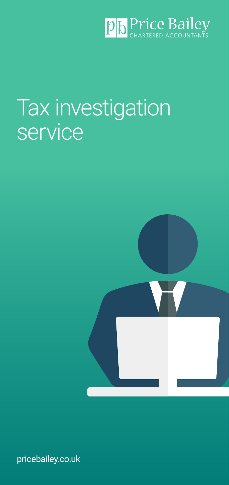

# Tax investigation service



pricebailey.co.uk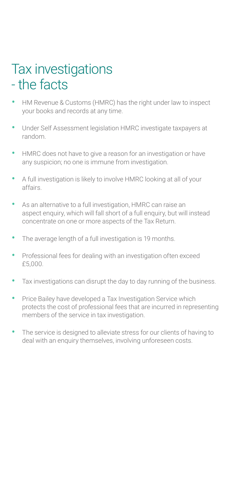### Tax investigations - the facts

- HM Revenue & Customs (HMRC) has the right under law to inspect your books and records at any time.
- Under Self Assessment legislation HMRC investigate taxpayers at random.
- HMRC does not have to give a reason for an investigation or have any suspicion; no one is immune from investigation.
- A full investigation is likely to involve HMRC looking at all of your affairs.
- As an alternative to a full investigation, HMRC can raise an aspect enquiry, which will fall short of a full enquiry, but will instead concentrate on one or more aspects of the Tax Return.
- The average length of a full investigation is 19 months.
- Professional fees for dealing with an investigation often exceed £5,000.
- Tax investigations can disrupt the day to day running of the business.
- Price Bailey have developed a Tax Investigation Service which protects the cost of professional fees that are incurred in representing members of the service in tax investigation.
- The service is designed to alleviate stress for our clients of having to deal with an enquiry themselves, involving unforeseen costs.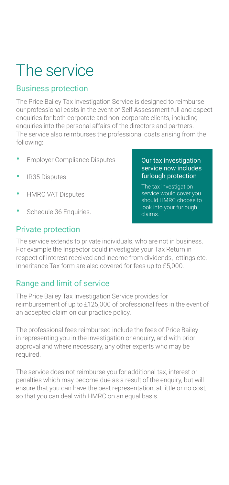## The service

#### Business protection

The Price Bailey Tax Investigation Service is designed to reimburse our professional costs in the event of Self Assessment full and aspect enquiries for both corporate and non-corporate clients, including enquiries into the personal affairs of the directors and partners. The service also reimburses the professional costs arising from the following:

- Employer Compliance Disputes
- IR35 Disputes
- HMRC VAT Disputes
- Schedule 36 Enquiries.

#### Private protection

#### Our tax investigation service now includes furlough protection

The tax investigation service would cover you should HMRC choose to look into your furlough claims.

The service extends to private individuals, who are not in business. For example the Inspector could investigate your Tax Return in respect of interest received and income from dividends, lettings etc. Inheritance Tax form are also covered for fees up to £5,000.

#### Range and limit of service

The Price Bailey Tax Investigation Service provides for reimbursement of up to £125,000 of professional fees in the event of an accepted claim on our practice policy.

The professional fees reimbursed include the fees of Price Bailey in representing you in the investigation or enquiry, and with prior approval and where necessary, any other experts who may be required.

The service does not reimburse you for additional tax, interest or penalties which may become due as a result of the enquiry, but will ensure that you can have the best representation, at little or no cost, so that you can deal with HMRC on an equal basis.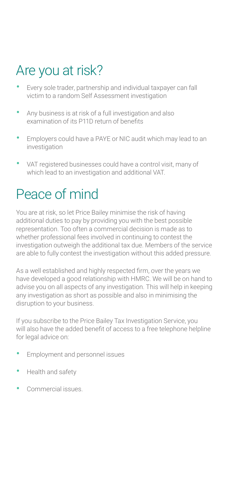### Are you at risk?

- Every sole trader, partnership and individual taxpayer can fall victim to a random Self Assessment investigation
- Any business is at risk of a full investigation and also examination of its P11D return of benefits
- Employers could have a PAYE or NIC audit which may lead to an investigation
- VAT registered businesses could have a control visit, many of which lead to an investigation and additional VAT.

### Peace of mind

You are at risk, so let Price Bailey minimise the risk of having additional duties to pay by providing you with the best possible representation. Too often a commercial decision is made as to whether professional fees involved in continuing to contest the investigation outweigh the additional tax due. Members of the service are able to fully contest the investigation without this added pressure.

As a well established and highly respected firm, over the years we have developed a good relationship with HMRC. We will be on hand to advise you on all aspects of any investigation. This will help in keeping any investigation as short as possible and also in minimising the disruption to your business.

If you subscribe to the Price Bailey Tax Investigation Service, you will also have the added benefit of access to a free telephone helpline for legal advice on:

- Employment and personnel issues
- Health and safety
- Commercial issues.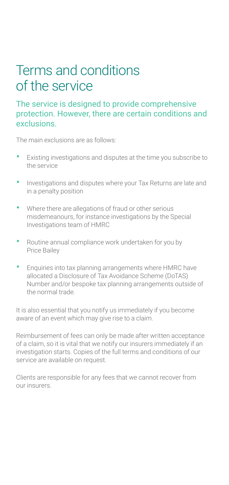### Terms and conditions of the service

#### The service is designed to provide comprehensive protection. However, there are certain conditions and exclusions.

The main exclusions are as follows:

- Existing investigations and disputes at the time you subscribe to the service
- Investigations and disputes where your Tax Returns are late and in a penalty position
- Where there are allegations of fraud or other serious misdemeanours, for instance investigations by the Special Investigations team of HMRC
- Routine annual compliance work undertaken for you by Price Bailey
- Enquiries into tax planning arrangements where HMRC have allocated a Disclosure of Tax Avoidance Scheme (DoTAS) Number and/or bespoke tax planning arrangements outside of the normal trade.

It is also essential that you notify us immediately if you become aware of an event which may give rise to a claim.

Reimbursement of fees can only be made after written acceptance of a claim, so it is vital that we notify our insurers immediately if an investigation starts. Copies of the full terms and conditions of our service are available on request.

Clients are responsible for any fees that we cannot recover from our insurers.